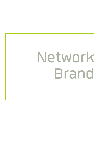# Network Brand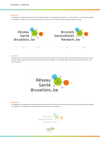### **COMPOSITION**

**>** The logotype is the primary element of the visual identity system. It is composed by the wordmark **(A)** and the symbol **(B)**. To maintain the integrity of the logo, the configuration must not deviate from what is shown here. The logo may not be modified or altered in any way.



## **CLEARSPACE**

**>** The clearspace is the minimum area that must be left clear around the logo to ensure that the logo is never overshadowed by other text or visual elements. Always respect this area to ensure clarity and achieve visual impact. The clearspace equals the same size as one of the small circles from the symbol **(C)**.



# **MINIMUM SIZE**

**>** The logotype can be proportionally sized down taking into account that a minimum size has been defined in order to guarantee the good legibility of its elements. The logo should not be reproduced smaller than 18 mm in total width **(D)**.

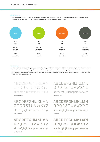### **COLOR PALETTE**

**>** Colors play a very important role in the visual identity system. They are meant to reinforce the dynamism of the brand. The use of white is as important as the use of color as white spaces give a sence of clarity and contemporary feel.

![](_page_2_Figure_3.jpeg)

# **TYPOGRAPHY**

**>** The corporate typography is the **Quan Rounded family**. This typeset includes different weights to use accordingly. Preferably, use the Quan Rounded for all communciation supports (brochures, leaflets, reports, ...). As complementary typography use the **Arial** for those cases where the Quan cannot be implemented. It is recommended to use Arial for desktop supports applications, such as: Microsoft word files, Power Point presentations, website, E-mails, ...

ABCDEFGHIJKLMN OPQRSTUVWXYZ abcdefghijklmnopqrstuvwxyz

ABCDEFGHIJKLMN OPQRSTUVWXYZ abcdefghijklmnopqrstuvwxyz Quan Rounded Book Quan Rounded

**ABCDEFGHIJKLMN OPQRSTUVWXYZ**

**abcdefghijklmnopqrstuvwxyz**

ABCDEFGHIJKLMN OPQRSTUVWXYZ abcdefghijklmnopqrstuvwxyz Quan Rounded Hairline Quan Rounded Light

# ABCDEFGHIJKLMN OPQRSTUVWXYZ

abcdefghijklmnopqrstuvwxyz

# **ABCDEFGHIJKLMN OPQRSTUVWXYZ**

**abcdefghijklmnopqrstuvwxyz**

Quan Rounded Bold Quan Rounded Extrabold